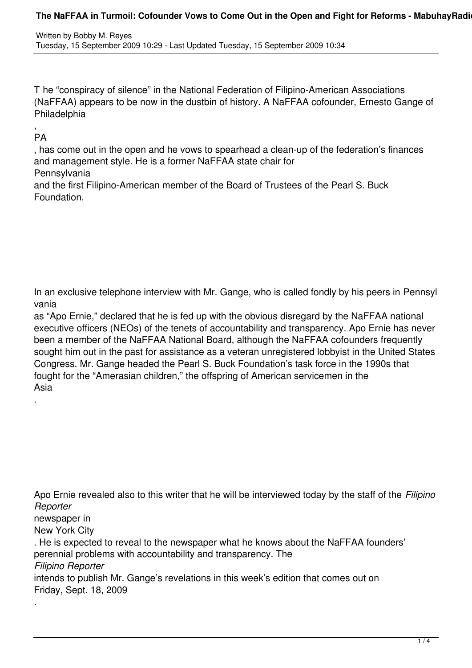T he "conspiracy of silence" in the National Federation of Filipino-American Associations (NaFFAA) appears to be now in the dustbin of history. A NaFFAA cofounder, Ernesto Gange of **Philadelphia** 

## , PA

, has come out in the open and he vows to spearhead a clean-up of the federation's finances and management style. He is a former NaFFAA state chair for

## Pennsylvania

and the first Filipino-American member of the Board of Trustees of the Pearl S. Buck Foundation.

In an exclusive telephone interview with Mr. Gange, who is called fondly by his peers in Pennsyl vania

as "Apo Ernie," declared that he is fed up with the obvious disregard by the NaFFAA national executive officers (NEOs) of the tenets of accountability and transparency. Apo Ernie has never been a member of the NaFFAA National Board, although the NaFFAA cofounders frequently sought him out in the past for assistance as a veteran unregistered lobbyist in the United States Congress. Mr. Gange headed the Pearl S. Buck Foundation's task force in the 1990s that fought for the "Amerasian children," the offspring of American servicemen in the Asia

Apo Ernie revealed also to this writer that he will be interviewed today by the staff of the *Filipino Reporter*

newspaper in

.

.

New York City

. He is expected to reveal to the newspaper what he knows about the NaFFAA founders' perennial problems with accountability and transparency. The *Filipino Reporter*

intends to publish Mr. Gange's revelations in this week's edition that comes out on Friday, Sept. 18, 2009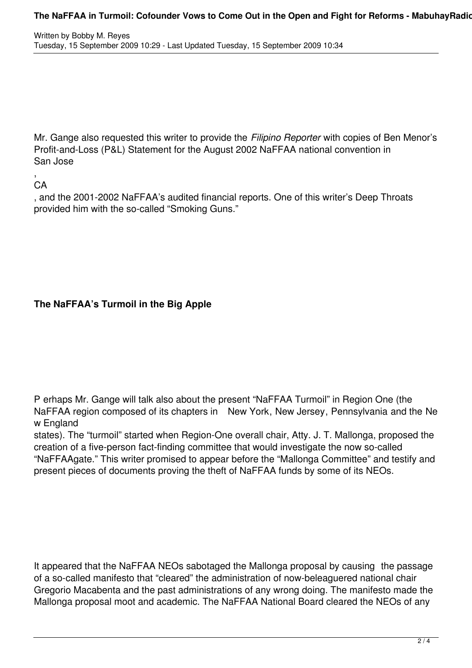Mr. Gange also requested this writer to provide the *Filipino Reporter* with copies of Ben Menor's Profit-and-Loss (P&L) Statement for the August 2002 NaFFAA national convention in San Jose

,  $C_{\mathsf{A}}$ 

, and the 2001-2002 NaFFAA's audited financial reports. One of this writer's Deep Throats provided him with the so-called "Smoking Guns."

## **The NaFFAA's Turmoil in the Big Apple**

P erhaps Mr. Gange will talk also about the present "NaFFAA Turmoil" in Region One (the NaFFAA region composed of its chapters in New York, New Jersey, Pennsylvania and the Ne w England

states). The "turmoil" started when Region-One overall chair, Atty. J. T. Mallonga, proposed the creation of a five-person fact-finding committee that would investigate the now so-called "NaFFAAgate." This writer promised to appear before the "Mallonga Committee" and testify and present pieces of documents proving the theft of NaFFAA funds by some of its NEOs.

It appeared that the NaFFAA NEOs sabotaged the Mallonga proposal by causing the passage of a so-called manifesto that "cleared" the administration of now-beleaguered national chair Gregorio Macabenta and the past administrations of any wrong doing. The manifesto made the Mallonga proposal moot and academic. The NaFFAA National Board cleared the NEOs of any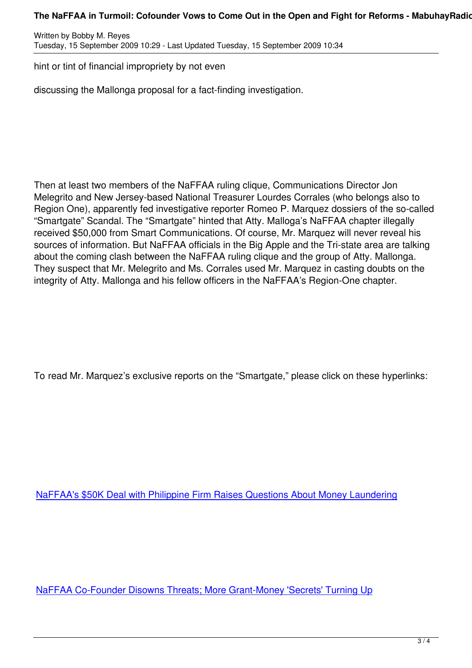hint or tint of financial impropriety by not even

discussing the Mallonga proposal for a fact-finding investigation.

Then at least two members of the NaFFAA ruling clique, Communications Director Jon Melegrito and New Jersey-based National Treasurer Lourdes Corrales (who belongs also to Region One), apparently fed investigative reporter Romeo P. Marquez dossiers of the so-called "Smartgate" Scandal. The "Smartgate" hinted that Atty. Malloga's NaFFAA chapter illegally received \$50,000 from Smart Communications. Of course, Mr. Marquez will never reveal his sources of information. But NaFFAA officials in the Big Apple and the Tri-state area are talking about the coming clash between the NaFFAA ruling clique and the group of Atty. Mallonga. They suspect that Mr. Melegrito and Ms. Corrales used Mr. Marquez in casting doubts on the integrity of Atty. Mallonga and his fellow officers in the NaFFAA's Region-One chapter.

To read Mr. Marquez's exclusive reports on the "Smartgate," please click on these hyperlinks:

NaFFAA's \$50K Deal with Philippine Firm Raises Questions About Money Laundering

NaFFAA Co-Founder Disowns Threats; More Grant-Money 'Secrets' Turning Up